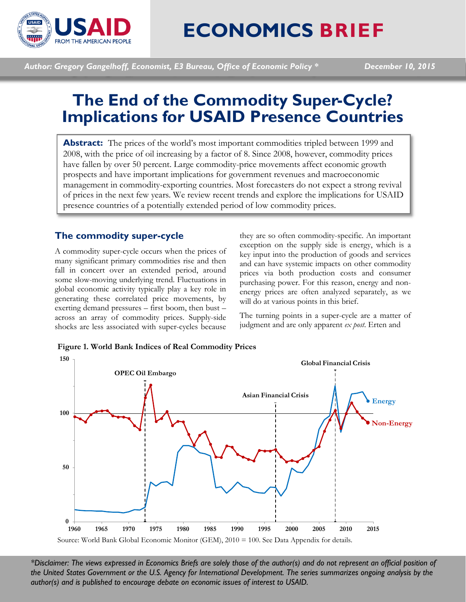

# **ECONOMICS BRIEF**

*Author: Gregory Gangelhoff, Economist, E3 Bureau, Office of Economic Policy \* December 10, 2015*

# **The End of the Commodity Super-Cycle? Implications for USAID Presence Countries**

**Abstract:** The prices of the world's most important commodities tripled between 1999 and 2008, with the price of oil increasing by a factor of 8. Since 2008, however, commodity prices have fallen by over 50 percent. Large commodity-price movements affect economic growth prospects and have important implications for government revenues and macroeconomic management in commodity-exporting countries. Most forecasters do not expect a strong revival of prices in the next few years. We review recent trends and explore the implications for USAID presence countries of a potentially extended period of low commodity prices.

## **The commodity super-cycle**

A commodity super-cycle occurs when the prices of many significant primary commodities rise and then fall in concert over an extended period, around some slow-moving underlying trend. Fluctuations in global economic activity typically play a key role in generating these correlated price movements, by exerting demand pressures – first boom, then bust – across an array of commodity prices. Supply-side shocks are less associated with super-cycles because

they are so often commodity-specific. An important exception on the supply side is energy, which is a key input into the production of goods and services and can have systemic impacts on other commodity prices via both production costs and consumer purchasing power. For this reason, energy and nonenergy prices are often analyzed separately, as we will do at various points in this brief.

The turning points in a super-cycle are a matter of judgment and are only apparent *ex post*. Erten and





*\*Disclaimer: The views expressed in Economics Briefs are solely those of the author(s) and do not represent an official position of the United States Government or the U.S. Agency for International Development. The series summarizes ongoing analysis by the author(s) and is published to encourage debate on economic issues of interest to USAID.*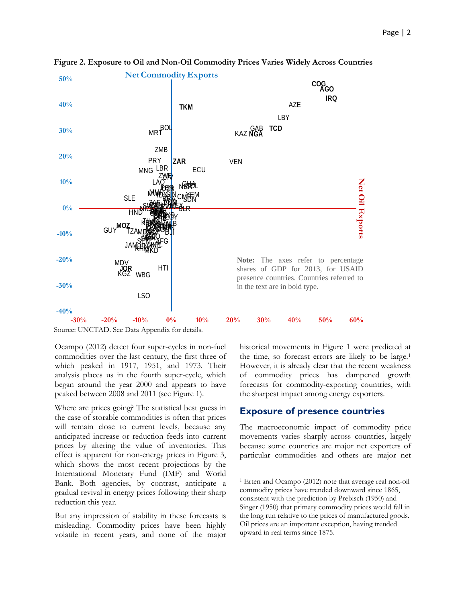

l

**Figure 2. Exposure to Oil and Non-Oil Commodity Prices Varies Widely Across Countries**

Source: UNCTAD. See Data Appendix for details.

Ocampo (2012) detect four super-cycles in non-fuel commodities over the last century, the first three of which peaked in 1917, 1951, and 1973. Their analysis places us in the fourth super-cycle, which began around the year 2000 and appears to have peaked between 2008 and 2011 (see Figure 1).

Where are prices going? The statistical best guess in the case of storable commodities is often that prices will remain close to current levels, because any anticipated increase or reduction feeds into current prices by altering the value of inventories. This effect is apparent for non-energy prices in Figure 3, which shows the most recent projections by the International Monetary Fund (IMF) and World Bank. Both agencies, by contrast, anticipate a gradual revival in energy prices following their sharp reduction this year.

<span id="page-1-0"></span>But any impression of stability in these forecasts is misleading. Commodity prices have been highly volatile in recent years, and none of the major historical movements in Figure 1 were predicted at the time, so forecast errors are likely to be large.[1](#page-1-0) However, it is already clear that the recent weakness of commodity prices has dampened growth forecasts for commodity-exporting countries, with the sharpest impact among energy exporters.

#### **Exposure of presence countries**

The macroeconomic impact of commodity price movements varies sharply across countries, largely because some countries are major net exporters of particular commodities and others are major net

<sup>1</sup> Erten and Ocampo (2012) note that average real non-oil commodity prices have trended downward since 1865, consistent with the prediction by Prebisch (1950) and Singer (1950) that primary commodity prices would fall in the long run relative to the prices of manufactured goods. Oil prices are an important exception, having trended upward in real terms since 1875.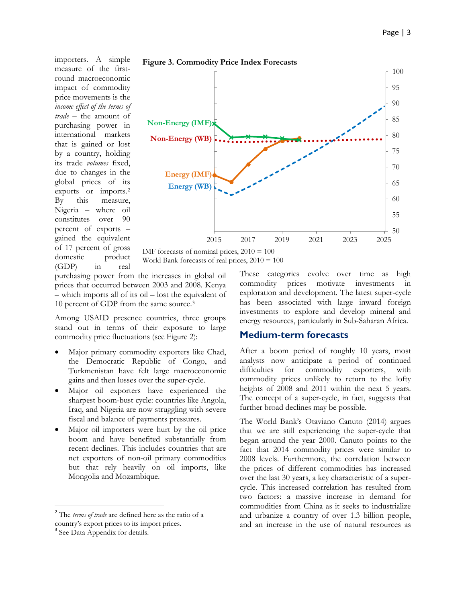importers. A simple measure of the firstround macroeconomic impact of commodity price movements is the *income effect of the terms of trade* – the amount of purchasing power in international markets that is gained or lost by a country, holding its trade *volumes* fixed, due to changes in the global prices of its exports or imports.[2](#page-2-0) By this measure, Nigeria – where oil constitutes over 90 percent of exports – gained the equivalent of 17 percent of gross domestic product (GDP) in real







purchasing power from the increases in global oil prices that occurred between 2003 and 2008. Kenya – which imports all of its oil – lost the equivalent of 10 percent of GDP from the same source.[3](#page-2-1)

Among USAID presence countries, three groups stand out in terms of their exposure to large commodity price fluctuations (see Figure 2):

- Major primary commodity exporters like Chad, the Democratic Republic of Congo, and Turkmenistan have felt large macroeconomic gains and then losses over the super-cycle.
- Major oil exporters have experienced the sharpest boom-bust cycle: countries like Angola, Iraq, and Nigeria are now struggling with severe fiscal and balance of payments pressures.
- Major oil importers were hurt by the oil price boom and have benefited substantially from recent declines. This includes countries that are net exporters of non-oil primary commodities but that rely heavily on oil imports, like Mongolia and Mozambique.

These categories evolve over time as high commodity prices motivate investments in exploration and development. The latest super-cycle has been associated with large inward foreign investments to explore and develop mineral and energy resources, particularly in Sub-Saharan Africa.

#### **Medium-term forecasts**

After a boom period of roughly 10 years, most analysts now anticipate a period of continued difficulties for commodity exporters, with commodity prices unlikely to return to the lofty heights of 2008 and 2011 within the next 5 years. The concept of a super-cycle, in fact, suggests that further broad declines may be possible.

The World Bank's Otaviano Canuto (2014) argues that we are still experiencing the super-cycle that began around the year 2000. Canuto points to the fact that 2014 commodity prices were similar to 2008 levels. Furthermore, the correlation between the prices of different commodities has increased over the last 30 years, a key characteristic of a supercycle. This increased correlation has resulted from two factors: a massive increase in demand for commodities from China as it seeks to industrialize and urbanize a country of over 1.3 billion people, and an increase in the use of natural resources as

<span id="page-2-0"></span> <sup>2</sup> The *terms of trade* are defined here as the ratio of a country's export prices to its import prices.

<span id="page-2-1"></span><sup>&</sup>lt;sup>3</sup> See Data Appendix for details.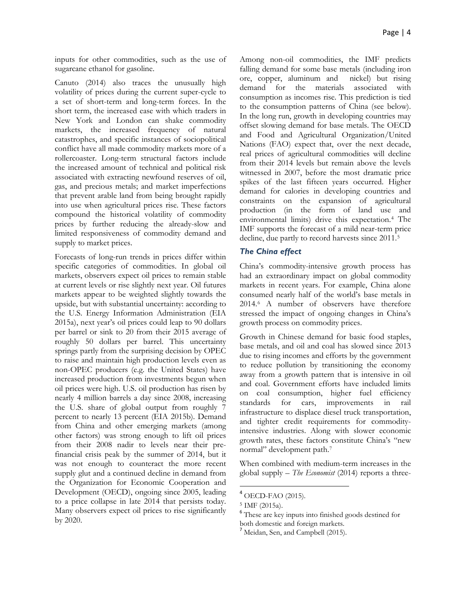inputs for other commodities, such as the use of sugarcane ethanol for gasoline.

Canuto (2014) also traces the unusually high volatility of prices during the current super-cycle to a set of short-term and long-term forces. In the short term, the increased ease with which traders in New York and London can shake commodity markets, the increased frequency of natural catastrophes, and specific instances of sociopolitical conflict have all made commodity markets more of a rollercoaster. Long-term structural factors include the increased amount of technical and political risk associated with extracting newfound reserves of oil, gas, and precious metals; and market imperfections that prevent arable land from being brought rapidly into use when agricultural prices rise. These factors compound the historical volatility of commodity prices by further reducing the already-slow and limited responsiveness of commodity demand and supply to market prices.

Forecasts of long-run trends in prices differ within specific categories of commodities. In global oil markets, observers expect oil prices to remain stable at current levels or rise slightly next year. Oil futures markets appear to be weighted slightly towards the upside, but with substantial uncertainty: according to the U.S. Energy Information Administration (EIA 2015a), next year's oil prices could leap to 90 dollars per barrel or sink to 20 from their 2015 average of roughly 50 dollars per barrel. This uncertainty springs partly from the surprising decision by OPEC to raise and maintain high production levels even as non-OPEC producers (e.g. the United States) have increased production from investments begun when oil prices were high. U.S. oil production has risen by nearly 4 million barrels a day since 2008, increasing the U.S. share of global output from roughly 7 percent to nearly 13 percent (EIA 2015b). Demand from China and other emerging markets (among other factors) was strong enough to lift oil prices from their 2008 nadir to levels near their prefinancial crisis peak by the summer of 2014, but it was not enough to counteract the more recent supply glut and a continued decline in demand from the Organization for Economic Cooperation and Development (OECD), ongoing since 2005, leading to a price collapse in late 2014 that persists today. Many observers expect oil prices to rise significantly by 2020.

Among non-oil commodities, the IMF predicts falling demand for some base metals (including iron ore, copper, aluminum and nickel) but rising demand for the materials associated with consumption as incomes rise. This prediction is tied to the consumption patterns of China (see below). In the long run, growth in developing countries may offset slowing demand for base metals. The OECD and Food and Agricultural Organization/United Nations (FAO) expect that, over the next decade, real prices of agricultural commodities will decline from their 2014 levels but remain above the levels witnessed in 2007, before the most dramatic price spikes of the last fifteen years occurred. Higher demand for calories in developing countries and constraints on the expansion of agricultural production (in the form of land use and environmental limits) drive this expectation.[4](#page-3-0) The IMF supports the forecast of a mild near-term price decline, due partly to record harvests since 2011.[5](#page-3-1)

#### *The China effect*

China's commodity-intensive growth process has had an extraordinary impact on global commodity markets in recent years. For example, China alone consumed nearly half of the world's base metals in 2014.[6](#page-3-2) A number of observers have therefore stressed the impact of ongoing changes in China's growth process on commodity prices.

Growth in Chinese demand for basic food staples, base metals, and oil and coal has slowed since 2013 due to rising incomes and efforts by the government to reduce pollution by transitioning the economy away from a growth pattern that is intensive in oil and coal. Government efforts have included limits on coal consumption, higher fuel efficiency standards for cars, improvements in rail infrastructure to displace diesel truck transportation, and tighter credit requirements for commodityintensive industries. Along with slower economic growth rates, these factors constitute China's "new normal" development path.[7](#page-3-3)

When combined with medium-term increases in the global supply – *The Economist* (2014) reports a three-

<span id="page-3-0"></span> $4$  OECD-FAO (2015).

<span id="page-3-1"></span><sup>5</sup> IMF (2015a).

<span id="page-3-2"></span><sup>6</sup> These are key inputs into finished goods destined for both domestic and foreign markets.

<span id="page-3-3"></span><sup>7</sup> Meidan, Sen, and Campbell (2015).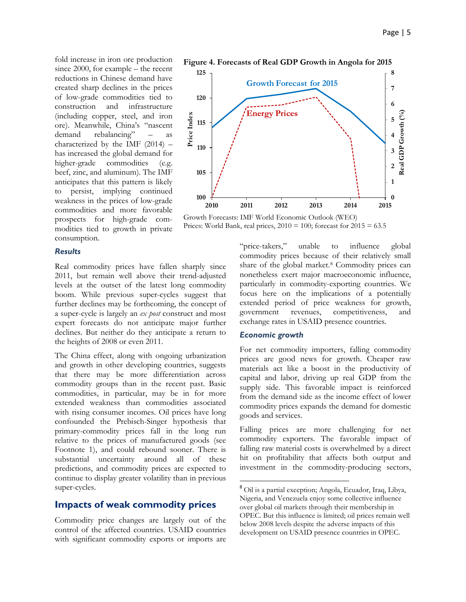fold increase in iron ore production since 2000, for example – the recent reductions in Chinese demand have created sharp declines in the prices of low-grade commodities tied to construction and infrastructure (including copper, steel, and iron ore). Meanwhile, China's "nascent demand rebalancing" – as characterized by the IMF (2014) – has increased the global demand for higher-grade commodities (e.g. beef, zinc, and aluminum). The IMF anticipates that this pattern is likely to persist, implying continued weakness in the prices of low-grade commodities and more favorable prospects for high-grade commodities tied to growth in private consumption.

#### *Results*

Real commodity prices have fallen sharply since 2011, but remain well above their trend-adjusted levels at the outset of the latest long commodity boom. While previous super-cycles suggest that further declines may be forthcoming, the concept of a super-cycle is largely an *ex post* construct and most expert forecasts do not anticipate major further declines. But neither do they anticipate a return to the heights of 2008 or even 2011.

The China effect, along with ongoing urbanization and growth in other developing countries, suggests that there may be more differentiation across commodity groups than in the recent past. Basic commodities, in particular, may be in for more extended weakness than commodities associated with rising consumer incomes. Oil prices have long confounded the Prebisch-Singer hypothesis that primary-commodity prices fall in the long run relative to the prices of manufactured goods (see Footnote 1), and could rebound sooner. There is substantial uncertainty around all of these predictions, and commodity prices are expected to continue to display greater volatility than in previous super-cycles.

#### <span id="page-4-0"></span>**Impacts of weak commodity prices**

Commodity price changes are largely out of the control of the affected countries. USAID countries with significant commodity exports or imports are





Growth Forecasts: IMF World Economic Outlook (WEO) Prices: World Bank, real prices,  $2010 = 100$ ; forecast for  $2015 = 63.5$ 

"price-takers," unable to influence global commodity prices because of their relatively small share of the global market.<sup>[8](#page-4-0)</sup> Commodity prices can nonetheless exert major macroeconomic influence, particularly in commodity-exporting countries. We focus here on the implications of a potentially extended period of price weakness for growth, government revenues, competitiveness, and exchange rates in USAID presence countries.

#### *Economic growth*

For net commodity importers, falling commodity prices are good news for growth. Cheaper raw materials act like a boost in the productivity of capital and labor, driving up real GDP from the supply side. This favorable impact is reinforced from the demand side as the income effect of lower commodity prices expands the demand for domestic goods and services.

Falling prices are more challenging for net commodity exporters. The favorable impact of falling raw material costs is overwhelmed by a direct hit on profitability that affects both output and investment in the commodity-producing sectors,

 <sup>8</sup> Oil is a partial exception; Angola, Ecuador, Iraq, Libya, Nigeria, and Venezuela enjoy some collective influence over global oil markets through their membership in OPEC. But this influence is limited; oil prices remain well below 2008 levels despite the adverse impacts of this development on USAID presence countries in OPEC.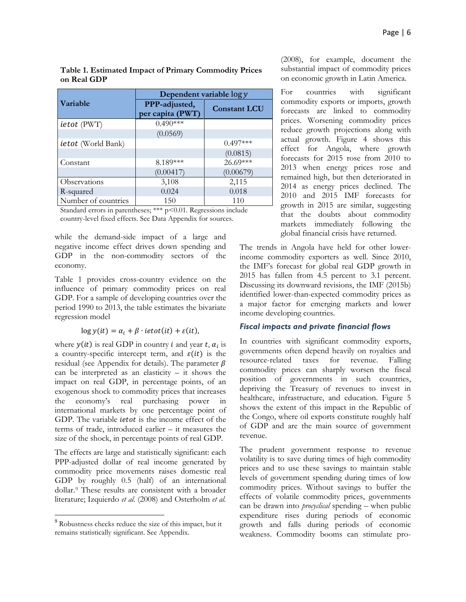|                           | Dependent variable $\log y$       |                     |
|---------------------------|-----------------------------------|---------------------|
| Variable                  | PPP-adjusted,<br>per capita (PWT) | <b>Constant LCU</b> |
| <i>ietot</i> (PWT)        | $0.490***$                        |                     |
|                           | (0.0569)                          |                     |
| <i>ietot</i> (World Bank) |                                   | $0.497***$          |
|                           |                                   | (0.0815)            |
| Constant                  | 8.189***                          | $26.69***$          |
|                           | (0.00417)                         | (0.00679)           |
| Observations              | 3,108                             | 2,115               |
| R-squared                 | 0.024                             | 0.018               |
| Number of countries       | 150                               | 110                 |

**Table 1. Estimated Impact of Primary Commodity Prices on Real GDP**

Standard errors in parentheses; \*\*\* p<0.01. Regressions include country-level fixed effects. See Data Appendix for sources.

while the demand-side impact of a large and negative income effect drives down spending and GDP in the non-commodity sectors of the economy.

Table 1 provides cross-country evidence on the influence of primary commodity prices on real GDP. For a sample of developing countries over the period 1990 to 2013, the table estimates the bivariate regression model

#### $\log y(it) = \alpha_i + \beta \cdot ietot(it) + \varepsilon(it),$

where  $y(it)$  is real GDP in country *i* and year *t*,  $\alpha_i$  is a country-specific intercept term, and  $\varepsilon(it)$  is the residual (see Appendix for details). The parameter  $\beta$ can be interpreted as an elasticity  $-$  it shows the impact on real GDP, in percentage points, of an exogenous shock to commodity prices that increases the economy's real purchasing power in international markets by one percentage point of GDP. The variable *ietot* is the income effect of the terms of trade, introduced earlier – it measures the size of the shock, in percentage points of real GDP.

The effects are large and statistically significant: each PPP-adjusted dollar of real income generated by commodity price movements raises domestic real GDP by roughly 0.5 (half) of an international dollar.[9](#page-5-0) These results are consistent with a broader literature; Izquierdo *et al.* (2008) and Osterholm *et al.*

(2008), for example, document the substantial impact of commodity prices on economic growth in Latin America.

For countries with significant commodity exports or imports, growth forecasts are linked to commodity prices. Worsening commodity prices reduce growth projections along with actual growth. Figure 4 shows this effect for Angola, where growth forecasts for 2015 rose from 2010 to 2013 when energy prices rose and remained high, but then deteriorated in 2014 as energy prices declined. The 2010 and 2015 IMF forecasts for growth in 2015 are similar, suggesting that the doubts about commodity markets immediately following the global financial crisis have returned.

The trends in Angola have held for other lowerincome commodity exporters as well. Since 2010, the IMF's forecast for global real GDP growth in 2015 has fallen from 4.5 percent to 3.1 percent. Discussing its downward revisions, the IMF (2015b) identified lower-than-expected commodity prices as a major factor for emerging markets and lower income developing countries.

#### *Fiscal impacts and private financial flows*

In countries with significant commodity exports, governments often depend heavily on royalties and resource-related taxes for revenue. Falling commodity prices can sharply worsen the fiscal position of governments in such countries, depriving the Treasury of revenues to invest in healthcare, infrastructure, and education. Figure 5 shows the extent of this impact in the Republic of the Congo, where oil exports constitute roughly half of GDP and are the main source of government revenue.

The prudent government response to revenue volatility is to save during times of high commodity prices and to use these savings to maintain stable levels of government spending during times of low commodity prices. Without savings to buffer the effects of volatile commodity prices, governments can be drawn into *procyclical* spending – when public expenditure rises during periods of economic growth and falls during periods of economic weakness. Commodity booms can stimulate pro-

<span id="page-5-0"></span> <sup>9</sup> Robustness checks reduce the size of this impact, but it remains statistically significant. See Appendix.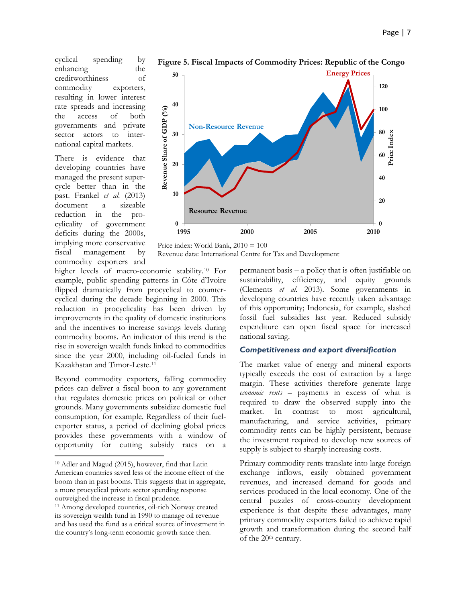cyclical spending by enhancing the creditworthiness of commodity exporters, resulting in lower interest rate spreads and increasing the access of both governments and private sector actors to international capital markets.

There is evidence that developing countries have managed the present supercycle better than in the past. Frankel *et al.* (2013) document a sizeable reduction in the procylicality of government deficits during the 2000s, implying more conservative fiscal management by commodity exporters and



**1995 2000 2005 2010**

**Figure 5. Fiscal Impacts of Commodity Prices: Republic of the Congo**

Price index: World Bank,  $2010 = 100$ Revenue data: International Centre for Tax and Development

higher levels of macro-economic stability.[10](#page-6-0) For example, public spending patterns in Côte d'Ivoire flipped dramatically from procyclical to countercyclical during the decade beginning in 2000. This reduction in procyclicality has been driven by improvements in the quality of domestic institutions and the incentives to increase savings levels during commodity booms. An indicator of this trend is the rise in sovereign wealth funds linked to commodities since the year 2000, including oil-fueled funds in Kazakhstan and Timor-Leste.[11](#page-6-1)

Beyond commodity exporters, falling commodity prices can deliver a fiscal boon to any government that regulates domestic prices on political or other grounds. Many governments subsidize domestic fuel consumption, for example. Regardless of their fuelexporter status, a period of declining global prices provides these governments with a window of opportunity for cutting subsidy rates on a

 $\overline{\phantom{a}}$ 

permanent basis – a policy that is often justifiable on sustainability, efficiency, and equity grounds (Clements *et al.* 2013). Some governments in developing countries have recently taken advantage of this opportunity; Indonesia, for example, slashed fossil fuel subsidies last year. Reduced subsidy expenditure can open fiscal space for increased national saving.

#### *Competitiveness and export diversification*

The market value of energy and mineral exports typically exceeds the cost of extraction by a large margin. These activities therefore generate large *economic rents* – payments in excess of what is required to draw the observed supply into the market. In contrast to most agricultural, manufacturing, and service activities, primary commodity rents can be highly persistent, because the investment required to develop new sources of supply is subject to sharply increasing costs.

Primary commodity rents translate into large foreign exchange inflows, easily obtained government revenues, and increased demand for goods and services produced in the local economy. One of the central puzzles of cross-country development experience is that despite these advantages, many primary commodity exporters failed to achieve rapid growth and transformation during the second half of the 20th century.

<span id="page-6-0"></span><sup>10</sup> Adler and Magud (2015), however, find that Latin American countries saved less of the income effect of the boom than in past booms. This suggests that in aggregate, a more procyclical private sector spending response outweighed the increase in fiscal prudence.

<span id="page-6-1"></span><sup>11</sup> Among developed countries, oil-rich Norway created its sovereign wealth fund in 1990 to manage oil revenue and has used the fund as a critical source of investment in the country's long-term economic growth since then.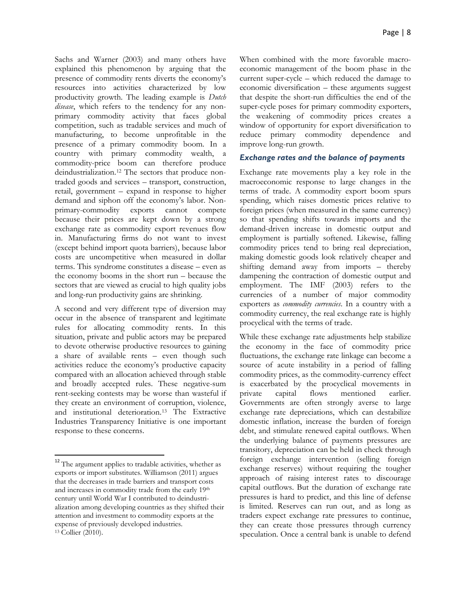Sachs and Warner (2003) and many others have explained this phenomenon by arguing that the presence of commodity rents diverts the economy's resources into activities characterized by low productivity growth. The leading example is *Dutch disease*, which refers to the tendency for any nonprimary commodity activity that faces global competition, such as tradable services and much of manufacturing, to become unprofitable in the presence of a primary commodity boom. In a country with primary commodity wealth, a commodity-price boom can therefore produce deindustrialization.[12](#page-7-0) The sectors that produce nontraded goods and services – transport, construction, retail, government – expand in response to higher demand and siphon off the economy's labor. Nonprimary-commodity exports cannot compete because their prices are kept down by a strong exchange rate as commodity export revenues flow in. Manufacturing firms do not want to invest (except behind import quota barriers), because labor costs are uncompetitive when measured in dollar terms. This syndrome constitutes a disease – even as the economy booms in the short run – because the sectors that are viewed as crucial to high quality jobs and long-run productivity gains are shrinking.

A second and very different type of diversion may occur in the absence of transparent and legitimate rules for allocating commodity rents. In this situation, private and public actors may be prepared to devote otherwise productive resources to gaining a share of available rents – even though such activities reduce the economy's productive capacity compared with an allocation achieved through stable and broadly accepted rules. These negative-sum rent-seeking contests may be worse than wasteful if they create an environment of corruption, violence, and institutional deterioration.[13](#page-7-1) The Extractive Industries Transparency Initiative is one important response to these concerns.

When combined with the more favorable macroeconomic management of the boom phase in the current super-cycle – which reduced the damage to economic diversification – these arguments suggest that despite the short-run difficulties the end of the super-cycle poses for primary commodity exporters, the weakening of commodity prices creates a window of opportunity for export diversification to reduce primary commodity dependence and improve long-run growth.

#### *Exchange rates and the balance of payments*

Exchange rate movements play a key role in the macroeconomic response to large changes in the terms of trade. A commodity export boom spurs spending, which raises domestic prices relative to foreign prices (when measured in the same currency) so that spending shifts towards imports and the demand-driven increase in domestic output and employment is partially softened. Likewise, falling commodity prices tend to bring real depreciation, making domestic goods look relatively cheaper and shifting demand away from imports – thereby dampening the contraction of domestic output and employment. The IMF (2003) refers to the currencies of a number of major commodity exporters as *commodity currencies*. In a country with a commodity currency, the real exchange rate is highly procyclical with the terms of trade.

While these exchange rate adjustments help stabilize the economy in the face of commodity price fluctuations, the exchange rate linkage can become a source of acute instability in a period of falling commodity prices, as the commodity-currency effect is exacerbated by the procyclical movements in private capital flows mentioned earlier. Governments are often strongly averse to large exchange rate depreciations, which can destabilize domestic inflation, increase the burden of foreign debt, and stimulate renewed capital outflows. When the underlying balance of payments pressures are transitory, depreciation can be held in check through foreign exchange intervention (selling foreign exchange reserves) without requiring the tougher approach of raising interest rates to discourage capital outflows. But the duration of exchange rate pressures is hard to predict, and this line of defense is limited. Reserves can run out, and as long as traders expect exchange rate pressures to continue, they can create those pressures through currency speculation. Once a central bank is unable to defend

<span id="page-7-1"></span><span id="page-7-0"></span><sup>&</sup>lt;sup>12</sup> The argument applies to tradable activities, whether as exports or import substitutes. Williamson (2011) argues that the decreases in trade barriers and transport costs and increases in commodity trade from the early 19th century until World War I contributed to deindustrialization among developing countries as they shifted their attention and investment to commodity exports at the expense of previously developed industries. <sup>13</sup> Collier (2010).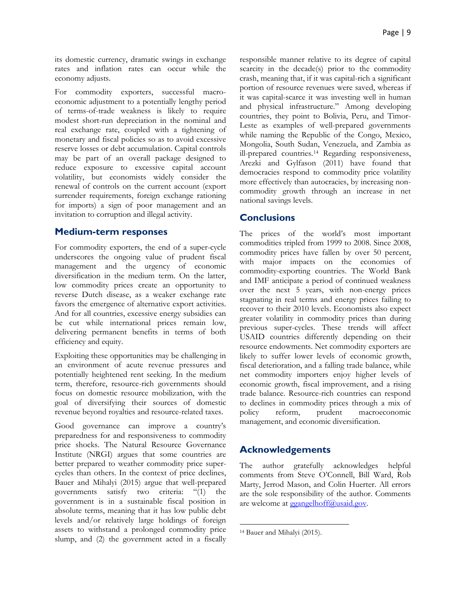its domestic currency, dramatic swings in exchange rates and inflation rates can occur while the economy adjusts.

For commodity exporters, successful macroeconomic adjustment to a potentially lengthy period of terms-of-trade weakness is likely to require modest short-run depreciation in the nominal and real exchange rate, coupled with a tightening of monetary and fiscal policies so as to avoid excessive reserve losses or debt accumulation. Capital controls may be part of an overall package designed to reduce exposure to excessive capital account volatility, but economists widely consider the renewal of controls on the current account (export surrender requirements, foreign exchange rationing for imports) a sign of poor management and an invitation to corruption and illegal activity.

#### **Medium-term responses**

For commodity exporters, the end of a super-cycle underscores the ongoing value of prudent fiscal management and the urgency of economic diversification in the medium term. On the latter, low commodity prices create an opportunity to reverse Dutch disease, as a weaker exchange rate favors the emergence of alternative export activities. And for all countries, excessive energy subsidies can be cut while international prices remain low, delivering permanent benefits in terms of both efficiency and equity.

Exploiting these opportunities may be challenging in an environment of acute revenue pressures and potentially heightened rent seeking. In the medium term, therefore, resource-rich governments should focus on domestic resource mobilization, with the goal of diversifying their sources of domestic revenue beyond royalties and resource-related taxes.

<span id="page-8-0"></span>Good governance can improve a country's preparedness for and responsiveness to commodity price shocks. The Natural Resource Governance Institute (NRGI) argues that some countries are better prepared to weather commodity price supercycles than others. In the context of price declines, Bauer and Mihalyi (2015) argue that well-prepared governments satisfy two criteria: "(1) the government is in a sustainable fiscal position in absolute terms, meaning that it has low public debt levels and/or relatively large holdings of foreign assets to withstand a prolonged commodity price slump, and (2) the government acted in a fiscally

responsible manner relative to its degree of capital scarcity in the decade(s) prior to the commodity crash, meaning that, if it was capital-rich a significant portion of resource revenues were saved, whereas if it was capital-scarce it was investing well in human and physical infrastructure." Among developing countries, they point to Bolivia, Peru, and Timor-Leste as examples of well-prepared governments while naming the Republic of the Congo, Mexico, Mongolia, South Sudan, Venezuela, and Zambia as ill-prepared countries.[14](#page-8-0) Regarding responsiveness, Arezki and Gylfason (2011) have found that democracies respond to commodity price volatility more effectively than autocracies, by increasing noncommodity growth through an increase in net national savings levels.

#### **Conclusions**

The prices of the world's most important commodities tripled from 1999 to 2008. Since 2008, commodity prices have fallen by over 50 percent, with major impacts on the economies of commodity-exporting countries. The World Bank and IMF anticipate a period of continued weakness over the next 5 years, with non-energy prices stagnating in real terms and energy prices failing to recover to their 2010 levels. Economists also expect greater volatility in commodity prices than during previous super-cycles. These trends will affect USAID countries differently depending on their resource endowments. Net commodity exporters are likely to suffer lower levels of economic growth, fiscal deterioration, and a falling trade balance, while net commodity importers enjoy higher levels of economic growth, fiscal improvement, and a rising trade balance. Resource-rich countries can respond to declines in commodity prices through a mix of policy reform, prudent macroeconomic management, and economic diversification.

#### **Acknowledgements**

The author gratefully acknowledges helpful comments from Steve O'Connell, Bill Ward, Rob Marty, Jerrod Mason, and Colin Huerter. All errors are the sole responsibility of the author. Comments are welcome at [ggangelhoff@usaid.gov.](mailto:ggangelhoff@usaid.gov)

 $\overline{\phantom{a}}$ 

<sup>14</sup> Bauer and Mihalyi (2015).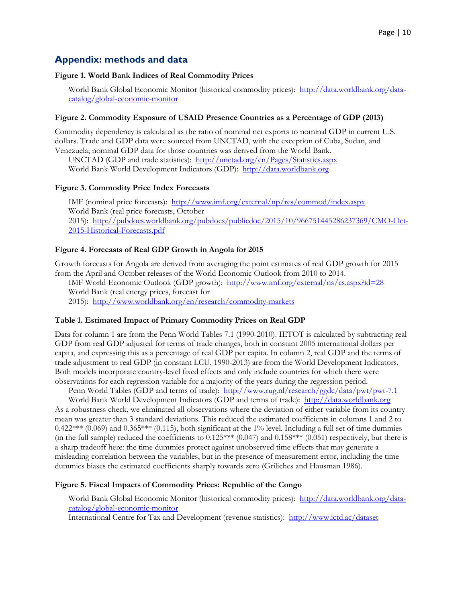## **Appendix: methods and data**

#### **Figure 1. World Bank Indices of Real Commodity Prices**

World Bank Global Economic Monitor (historical commodity prices): [http://data.worldbank.org/data](http://data.worldbank.org/data-catalog/global-economic-monitor)[catalog/global-economic-monitor](http://data.worldbank.org/data-catalog/global-economic-monitor)

#### **Figure 2. Commodity Exposure of USAID Presence Countries as a Percentage of GDP (2013)**

Commodity dependency is calculated as the ratio of nominal net exports to nominal GDP in current U.S. dollars. Trade and GDP data were sourced from UNCTAD, with the exception of Cuba, Sudan, and Venezuela; nominal GDP data for those countries was derived from the World Bank.

UNCTAD (GDP and trade statistics): <http://unctad.org/en/Pages/Statistics.aspx> World Bank World Development Indicators (GDP): [http://data.worldbank.org](http://data.worldbank.org/)

#### **Figure 3. Commodity Price Index Forecasts**

IMF (nominal price forecasts): <http://www.imf.org/external/np/res/commod/index.aspx> World Bank (real price forecasts, October 2015): [http://pubdocs.worldbank.org/pubdocs/publicdoc/2015/10/966751445286237369/CMO-Oct-](http://pubdocs.worldbank.org/pubdocs/publicdoc/2015/10/966751445286237369/CMO-Oct-2015-Historical-Forecasts.pdf)[2015-Historical-Forecasts.pdf](http://pubdocs.worldbank.org/pubdocs/publicdoc/2015/10/966751445286237369/CMO-Oct-2015-Historical-Forecasts.pdf)

#### **Figure 4. Forecasts of Real GDP Growth in Angola for 2015**

Growth forecasts for Angola are derived from averaging the point estimates of real GDP growth for 2015 from the April and October releases of the World Economic Outlook from 2010 to 2014.

IMF World Economic Outlook (GDP growth): <http://www.imf.org/external/ns/cs.aspx?id=28> World Bank (real energy prices, forecast for

2015): <http://www.worldbank.org/en/research/commodity-markets>

#### **Table 1. Estimated Impact of Primary Commodity Prices on Real GDP**

Data for column 1 are from the Penn World Tables 7.1 (1990-2010). IETOT is calculated by subtracting real GDP from real GDP adjusted for terms of trade changes, both in constant 2005 international dollars per capita, and expressing this as a percentage of real GDP per capita. In column 2, real GDP and the terms of trade adjustment to real GDP (in constant LCU, 1990-2013) are from the World Development Indicators. Both models incorporate country-level fixed effects and only include countries for which there were observations for each regression variable for a majority of the years during the regression period.

Penn World Tables (GDP and terms of trade): <http://www.rug.nl/research/ggdc/data/pwt/pwt-7.1>

World Bank World Development Indicators (GDP and terms of trade): [http://data.worldbank.org](http://data.worldbank.org/) As a robustness check, we eliminated all observations where the deviation of either variable from its country mean was greater than 3 standard deviations. This reduced the estimated coefficients in columns 1 and 2 to  $0.422***$  (0.069) and  $0.365***$  (0.115), both significant at the 1% level. Including a full set of time dummies (in the full sample) reduced the coefficients to  $0.125***$   $(0.047)$  and  $0.158***$   $(0.051)$  respectively, but there is a sharp tradeoff here: the time dummies protect against unobserved time effects that may generate a misleading correlation between the variables, but in the presence of measurement error, including the time dummies biases the estimated coefficients sharply towards zero (Griliches and Hausman 1986).

#### **Figure 5. Fiscal Impacts of Commodity Prices: Republic of the Congo**

World Bank Global Economic Monitor (historical commodity prices): [http://data.worldbank.org/data](http://data.worldbank.org/data-catalog/global-economic-monitor)[catalog/global-economic-monitor](http://data.worldbank.org/data-catalog/global-economic-monitor)

International Centre for Tax and Development (revenue statistics):<http://www.ictd.ac/dataset>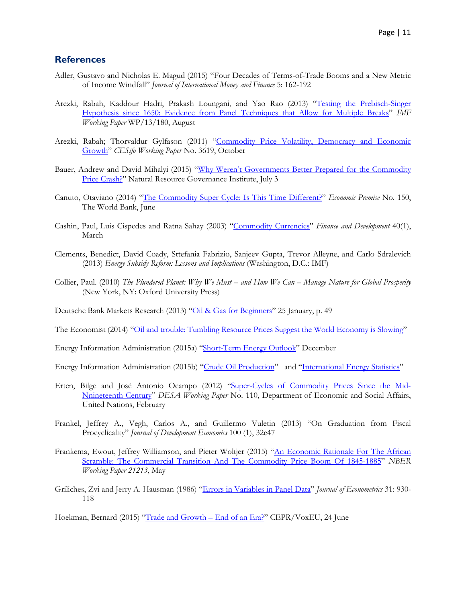#### **References**

- Adler, Gustavo and Nicholas E. Magud (2015) "Four Decades of Terms-of-Trade Booms and a New Metric of Income Windfall" *Journal of International Money and Finance* 5: 162-192
- Arezki, Rabah, Kaddour Hadri, Prakash Loungani, and Yao Rao (2013) ["Testing the Prebisch-Singer](https://www.imf.org/external/pubs/ft/wp/2013/wp13180.pdf)  [Hypothesis since 1650: Evidence from Panel Techniques that Allow for Multiple Breaks"](https://www.imf.org/external/pubs/ft/wp/2013/wp13180.pdf) *IMF Working Paper* WP/13/180, August
- Arezki, Rabah; Thorvaldur Gylfason (2011) ["Commodity Price Volatility, Democracy and Economic](https://www.cesifo-group.de/portal/page/portal/DocBase_Content/WP/WP-CESifo_Working_Papers/wp-cesifo-2011/wp-cesifo-2011-10/cesifo1_wp3619.pdf)  [Growth"](https://www.cesifo-group.de/portal/page/portal/DocBase_Content/WP/WP-CESifo_Working_Papers/wp-cesifo-2011/wp-cesifo-2011-10/cesifo1_wp3619.pdf) *CESifo Working Paper* No. 3619, October
- Bauer, Andrew and David Mihalyi (2015) "Why Weren't Governments Better Prepared for the Commodity [Price Crash?"](http://www.resourcegovernance.org/news/blog/why-werent-governments-better-prepared-commodity-price-crash) Natural Resource Governance Institute, July 3
- Canuto, Otaviano (2014) ["The Commodity Super Cycle: Is This Time Different?"](http://siteresources.worldbank.org/EXTPREMNET/Resources/EP150.pdf) *Economic Premise* No. 150, The World Bank, June
- Cashin, Paul, Luis Cispedes and Ratna Sahay (2003) ["Commodity Currencies"](http://www.imf.org/external/pubs/ft/fandd/2003/03/cash.htm) *Finance and Development* 40(1), March
- Clements, Benedict, David Coady, Sttefania Fabrizio, Sanjeev Gupta, Trevor Alleyne, and Carlo Sdralevich (2013) *Energy Subsidy Reform: Lessons and Implications* (Washington, D.C.: IMF)
- Collier, Paul. (2010) *The Plundered Planet: Why We Must – and How We Can – Manage Nature for Global Prosperity* (New York, NY: Oxford University Press)

Deutsche Bank Markets Research (2013) ["Oil & Gas for Beginners"](http://www.wallstreetoasis.com/files/DEUTSCHEBANK-AGUIDETOTHEOIL%EF%BC%86GASINDUSTRY-130125.pdf) 25 January, p. 49

The Economist (2014) ["Oil and trouble: Tumbling Resource Prices Suggest the World Economy is Slowing"](http://www.economist.com/news/finance-and-economics/21621875-tumbling-resource-prices-suggest-world-economy-slowing-oil-and-trouble)

Energy Information Administration (2015a) ["Short-Term Energy Outlook"](http://www.eia.gov/forecasts/steo/report/prices.cfm) December

Energy Information Administration (2015b) ["Crude Oil Production"](http://www.eia.gov/dnav/pet/pet_crd_crpdn_adc_mbblpd_a.htm) and ["International Energy Statistics"](http://www.eia.gov/beta/international/data/browser/)

- Erten, Bilge and José Antonio Ocampo (2012) ["Super-Cycles of Commodity Prices Since the Mid-](http://www.un.org/esa/desa/papers/2012/wp110_2012.pdf)[Nnineteenth Century"](http://www.un.org/esa/desa/papers/2012/wp110_2012.pdf) *DESA Working Paper* No. 110, Department of Economic and Social Affairs, United Nations, February
- Frankel, Jeffrey A., Vegh, Carlos A., and Guillermo Vuletin (2013) "On Graduation from Fiscal Procyclicality" *Journal of Development Economics* 100 (1), 32e47
- Frankema, Ewout, Jeffrey Williamson, and Pieter Woltjer (2015) ["An Economic Rationale For The African](http://www.nber.org/papers/w21213)  [Scramble: The Commercial Transition And The Commodity Price Boom Of 1845-1885"](http://www.nber.org/papers/w21213) *NBER Working Paper 21213*, May
- Griliches, Zvi and Jerry A. Hausman (1986) ["Errors in Variables in Panel Data"](http://economics.mit.edu/files/2709) *Journal of Econometrics* 31: 930- 118

Hoekman, Bernard (2015) ["Trade and Growth –](http://www.voxeu.org/article/trade-and-growth-end-era) End of an Era?" CEPR/VoxEU, 24 June